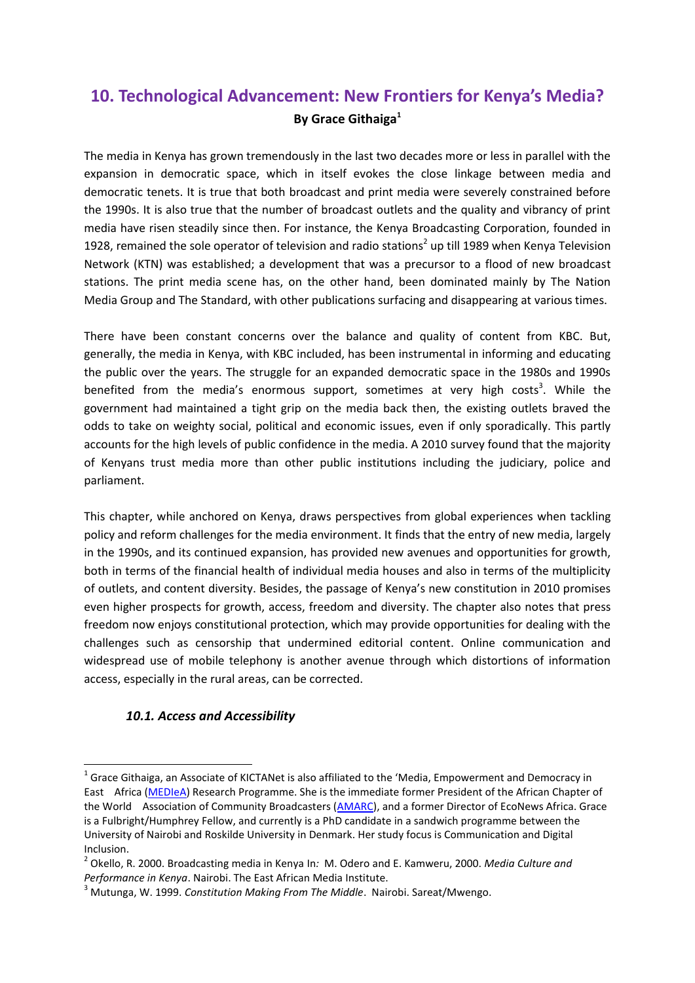# **10. Technological Advancement: New Frontiers for Kenya's Media? By Grace Githaiga<sup>1</sup>**

The media in Kenya has grown tremendously in the last two decades more or less in parallel with the expansion in democratic space, which in itself evokes the close linkage between media and democratic tenets. It is true that both broadcast and print media were severely constrained before the 1990s. It is also true that the number of broadcast outlets and the quality and vibrancy of print media have risen steadily since then. For instance, the Kenya Broadcasting Corporation, founded in 1928, remained the sole operator of television and radio stations<sup>2</sup> up till 1989 when Kenya Television Network (KTN) was established; a development that was a precursor to a flood of new broadcast stations. The print media scene has, on the other hand, been dominated mainly by The Nation Media Group and The Standard, with other publications surfacing and disappearing at various times.

There have been constant concerns over the balance and quality of content from KBC. But, generally, the media in Kenya, with KBC included, has been instrumental in informing and educating the public over the years. The struggle for an expanded democratic space in the 1980s and 1990s benefited from the media's enormous support, sometimes at very high costs<sup>3</sup>. While the government had maintained a tight grip on the media back then, the existing outlets braved the odds to take on weighty social, political and economic issues, even if only sporadically. This partly accounts for the high levels of public confidence in the media. A 2010 survey found that the majority of Kenyans trust media more than other public institutions including the judiciary, police and parliament.

This chapter, while anchored on Kenya, draws perspectives from global experiences when tackling policy and reform challenges for the media environment. It finds that the entry of new media, largely in the 1990s, and its continued expansion, has provided new avenues and opportunities for growth, both in terms of the financial health of individual media houses and also in terms of the multiplicity of outlets, and content diversity. Besides, the passage of Kenya's new constitution in 2010 promises even higher prospects for growth, access, freedom and diversity. The chapter also notes that press freedom now enjoys constitutional protection, which may provide opportunities for dealing with the challenges such as censorship that undermined editorial content. Online communication and widespread use of mobile telephony is another avenue through which distortions of information access, especially in the rural areas, can be corrected.

# *10.1. Access and Accessibility*

 $^1$  Grace Githaiga, an Associate of KICTANet is also affiliated to the 'Media, Empowerment and Democracy in East Africa [\(MEDIeA\)](http://mediea.ruc.dk/) Research Programme. She is the immediate former President of the African Chapter of the World Association of Community Broadcasters [\(AMARC\)](http://www.amarc.org/), and a former Director of EcoNews Africa. Grace is a Fulbright/Humphrey Fellow, and currently is a PhD candidate in a sandwich programme between the University of Nairobi and Roskilde University in Denmark. Her study focus is Communication and Digital Inclusion.

<sup>2</sup> Okello, R. 2000. Broadcasting media in Kenya In*:* M. Odero and E. Kamweru, 2000. *Media Culture and Performance in Kenya*. Nairobi. The East African Media Institute.

<sup>3</sup> Mutunga, W. 1999. *Constitution Making From The Middle*. Nairobi. Sareat/Mwengo.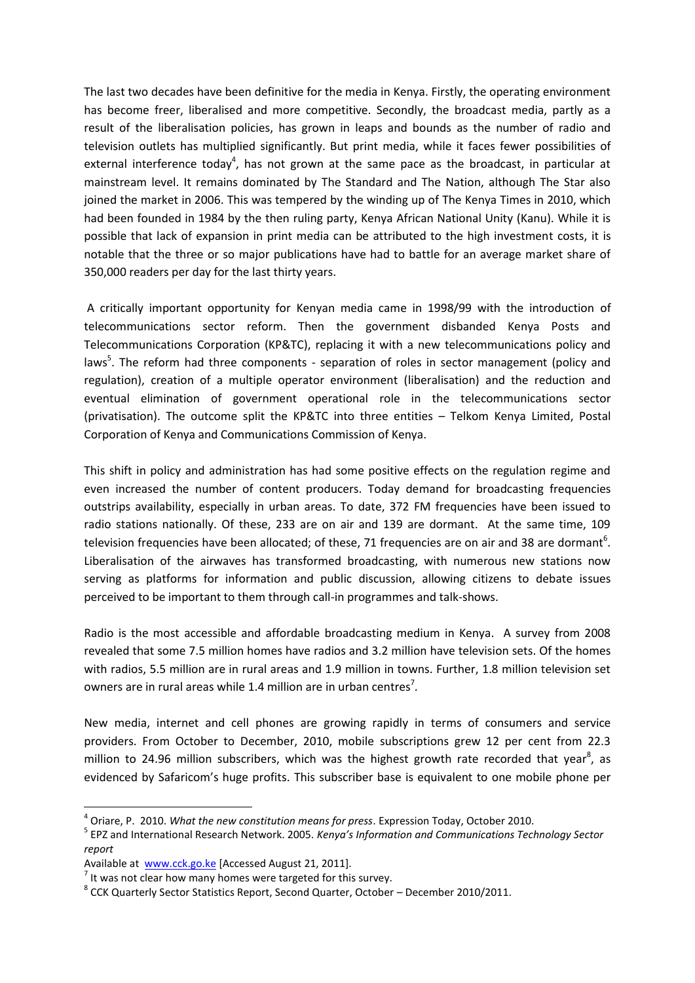The last two decades have been definitive for the media in Kenya. Firstly, the operating environment has become freer, liberalised and more competitive. Secondly, the broadcast media, partly as a result of the liberalisation policies, has grown in leaps and bounds as the number of radio and television outlets has multiplied significantly. But print media, while it faces fewer possibilities of external interference today<sup>4</sup>, has not grown at the same pace as the broadcast, in particular at mainstream level. It remains dominated by The Standard and The Nation, although The Star also joined the market in 2006. This was tempered by the winding up of The Kenya Times in 2010, which had been founded in 1984 by the then ruling party, Kenya African National Unity (Kanu). While it is possible that lack of expansion in print media can be attributed to the high investment costs, it is notable that the three or so major publications have had to battle for an average market share of 350,000 readers per day for the last thirty years.

A critically important opportunity for Kenyan media came in 1998/99 with the introduction of telecommunications sector reform. Then the government disbanded Kenya Posts and Telecommunications Corporation (KP&TC), replacing it with a new telecommunications policy and laws<sup>5</sup>. The reform had three components - separation of roles in sector management (policy and regulation), creation of a multiple operator environment (liberalisation) and the reduction and eventual elimination of government operational role in the telecommunications sector (privatisation). The outcome split the KP&TC into three entities – Telkom Kenya Limited, Postal Corporation of Kenya and Communications Commission of Kenya.

This shift in policy and administration has had some positive effects on the regulation regime and even increased the number of content producers. Today demand for broadcasting frequencies outstrips availability, especially in urban areas. To date, 372 FM frequencies have been issued to radio stations nationally. Of these, 233 are on air and 139 are dormant. At the same time, 109 television frequencies have been allocated; of these, 71 frequencies are on air and 38 are dormant<sup>6</sup>. Liberalisation of the airwaves has transformed broadcasting, with numerous new stations now serving as platforms for information and public discussion, allowing citizens to debate issues perceived to be important to them through call-in programmes and talk-shows.

Radio is the most accessible and affordable broadcasting medium in Kenya. A survey from 2008 revealed that some 7.5 million homes have radios and 3.2 million have television sets. Of the homes with radios, 5.5 million are in rural areas and 1.9 million in towns. Further, 1.8 million television set owners are in rural areas while 1.4 million are in urban centres<sup>7</sup>.

New media, internet and cell phones are growing rapidly in terms of consumers and service providers. From October to December, 2010, mobile subscriptions grew 12 per cent from 22.3 million to 24.96 million subscribers, which was the highest growth rate recorded that year<sup>8</sup>, as evidenced by Safaricom's huge profits. This subscriber base is equivalent to one mobile phone per

**.** 

<sup>4</sup> Oriare, P. 2010. *What the new constitution means for press*. Expression Today, October 2010.

<sup>5</sup> EPZ and International Research Network. 2005. *Kenya's Information and Communications Technology Sector report*

Available at [www.cck.go.ke](http://www.cck.go.ke/) [Accessed August 21, 2011].

 $<sup>7</sup>$  It was not clear how many homes were targeted for this survey.</sup>

<sup>&</sup>lt;sup>8</sup> CCK Quarterly Sector Statistics Report, Second Quarter, October – December 2010/2011.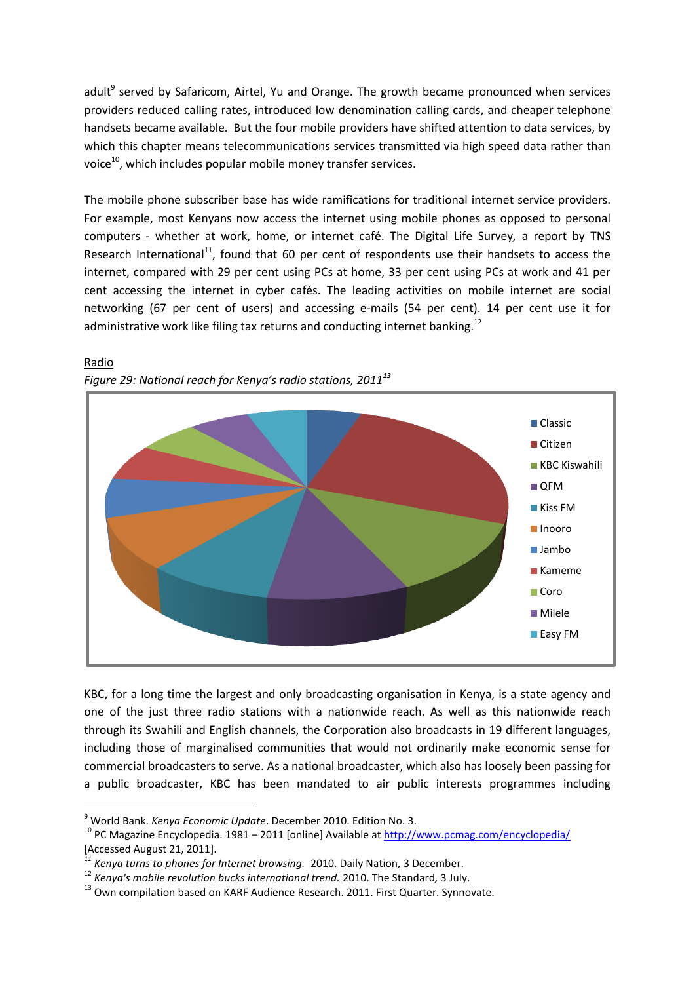adult<sup>9</sup> served by Safaricom, Airtel, Yu and Orange. The growth became pronounced when services providers reduced calling rates, introduced low denomination calling cards, and cheaper telephone handsets became available. But the four mobile providers have shifted attention to data services, by which this chapter means telecommunications services transmitted via high speed data rather than voice<sup>10</sup>, which includes popular mobile money transfer services.

The mobile phone subscriber base has wide ramifications for traditional internet service providers. For example, most Kenyans now access the internet using mobile phones as opposed to personal computers - whether at work, home, or internet café. The Digital Life Survey*,* a report by TNS Research International<sup>11</sup>, found that 60 per cent of respondents use their handsets to access the internet, compared with 29 per cent using PCs at home, 33 per cent using PCs at work and 41 per cent accessing the internet in cyber cafés. The leading activities on mobile internet are social networking (67 per cent of users) and accessing e-mails (54 per cent). 14 per cent use it for administrative work like filing tax returns and conducting internet banking.<sup>12</sup>



## Radio *Figure 29: National reach for Kenya's radio stations, 2011<sup>13</sup>*

KBC, for a long time the largest and only broadcasting organisation in Kenya, is a state agency and one of the just three radio stations with a nationwide reach. As well as this nationwide reach through its Swahili and English channels, the Corporation also broadcasts in 19 different languages, including those of marginalised communities that would not ordinarily make economic sense for commercial broadcasters to serve. As a national broadcaster, which also has loosely been passing for a public broadcaster, KBC has been mandated to air public interests programmes including

**.** 

<sup>9</sup> World Bank. *Kenya Economic Update*. December 2010. Edition No. 3.

<sup>&</sup>lt;sup>10</sup> PC Magazine Encyclopedia. 1981 – 2011 [online] Available at<http://www.pcmag.com/encyclopedia/> [Accessed August 21, 2011].

*<sup>11</sup> Kenya turns to phones for Internet browsing.* 2010. Daily Nation*,* 3 December.

<sup>12</sup> *Kenya's mobile revolution bucks international trend.* 2010. The Standard*,* 3 July.

<sup>&</sup>lt;sup>13</sup> Own compilation based on KARF Audience Research. 2011. First Quarter. Synnovate.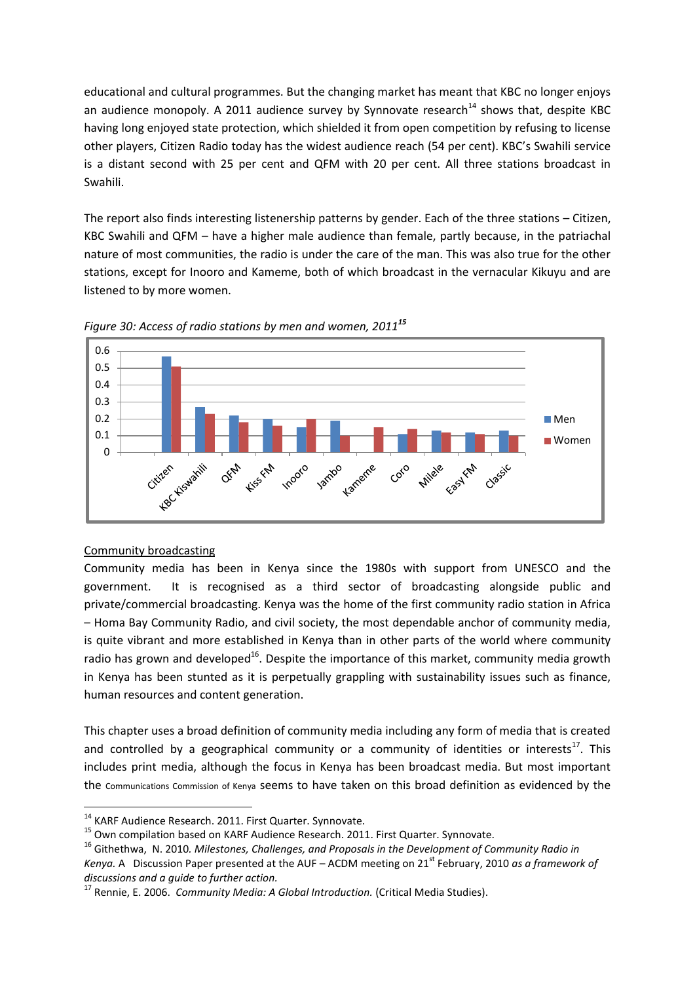educational and cultural programmes. But the changing market has meant that KBC no longer enjoys an audience monopoly. A 2011 audience survey by Synnovate research<sup>14</sup> shows that, despite KBC having long enjoyed state protection, which shielded it from open competition by refusing to license other players, Citizen Radio today has the widest audience reach (54 per cent). KBC's Swahili service is a distant second with 25 per cent and QFM with 20 per cent. All three stations broadcast in Swahili.

The report also finds interesting listenership patterns by gender. Each of the three stations – Citizen, KBC Swahili and QFM – have a higher male audience than female, partly because, in the patriachal nature of most communities, the radio is under the care of the man. This was also true for the other stations, except for Inooro and Kameme, both of which broadcast in the vernacular Kikuyu and are listened to by more women.





## Community broadcasting

**.** 

Community media has been in Kenya since the 1980s with support from UNESCO and the government. It is recognised as a third sector of broadcasting alongside public and private/commercial broadcasting. Kenya was the home of the first community radio station in Africa – Homa Bay Community Radio, and civil society, the most dependable anchor of community media, is quite vibrant and more established in Kenya than in other parts of the world where community radio has grown and developed<sup>16</sup>. Despite the importance of this market, community media growth in Kenya has been stunted as it is perpetually grappling with sustainability issues such as finance, human resources and content generation.

This chapter uses a broad definition of community media including any form of media that is created and controlled by a geographical community or a community of identities or interests<sup>17</sup>. This includes print media, although the focus in Kenya has been broadcast media. But most important the Communications Commission of Kenya seems to have taken on this broad definition as evidenced by the

<sup>&</sup>lt;sup>14</sup> KARF Audience Research. 2011. First Quarter. Synnovate.

<sup>&</sup>lt;sup>15</sup> Own compilation based on KARF Audience Research. 2011. First Quarter. Synnovate.

<sup>16</sup> Githethwa, N. 2010*. Milestones, Challenges, and Proposals in the Development of Community Radio in* 

*Kenya.* A Discussion Paper presented at the AUF – ACDM meeting on 21st February, 2010 *as a framework of discussions and a guide to further action.*

<sup>17</sup> Rennie, E. 2006. *Community Media: A Global Introduction.* (Critical Media Studies).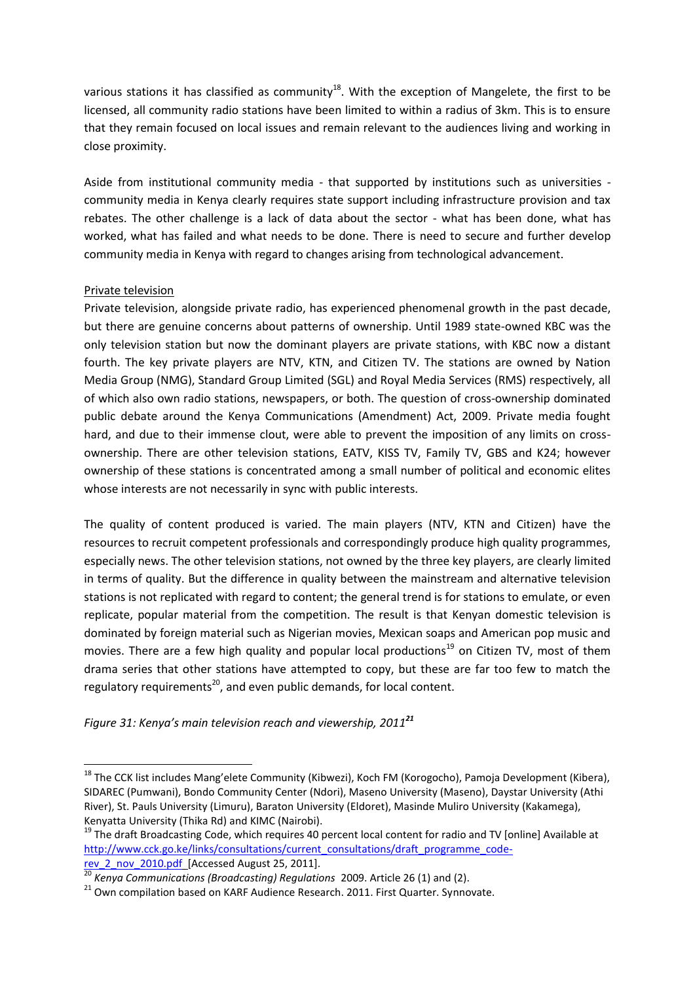various stations it has classified as community<sup>18</sup>. With the exception of Mangelete, the first to be licensed, all community radio stations have been limited to within a radius of 3km. This is to ensure that they remain focused on local issues and remain relevant to the audiences living and working in close proximity.

Aside from institutional community media - that supported by institutions such as universities community media in Kenya clearly requires state support including infrastructure provision and tax rebates. The other challenge is a lack of data about the sector - what has been done, what has worked, what has failed and what needs to be done. There is need to secure and further develop community media in Kenya with regard to changes arising from technological advancement.

## Private television

1

Private television, alongside private radio, has experienced phenomenal growth in the past decade, but there are genuine concerns about patterns of ownership. Until 1989 state-owned KBC was the only television station but now the dominant players are private stations, with KBC now a distant fourth. The key private players are NTV, KTN, and Citizen TV. The stations are owned by Nation Media Group (NMG), Standard Group Limited (SGL) and Royal Media Services (RMS) respectively, all of which also own radio stations, newspapers, or both. The question of cross-ownership dominated public debate around the Kenya Communications (Amendment) Act, 2009. Private media fought hard, and due to their immense clout, were able to prevent the imposition of any limits on crossownership. There are other television stations, EATV, KISS TV, Family TV, GBS and K24; however ownership of these stations is concentrated among a small number of political and economic elites whose interests are not necessarily in sync with public interests.

The quality of content produced is varied. The main players (NTV, KTN and Citizen) have the resources to recruit competent professionals and correspondingly produce high quality programmes, especially news. The other television stations, not owned by the three key players, are clearly limited in terms of quality. But the difference in quality between the mainstream and alternative television stations is not replicated with regard to content; the general trend is for stations to emulate, or even replicate, popular material from the competition. The result is that Kenyan domestic television is dominated by foreign material such as Nigerian movies, Mexican soaps and American pop music and movies. There are a few high quality and popular local productions<sup>19</sup> on Citizen TV, most of them drama series that other stations have attempted to copy, but these are far too few to match the regulatory requirements<sup>20</sup>, and even public demands, for local content.

*Figure 31: Kenya's main television reach and viewership, 2011<sup>21</sup>*

<sup>&</sup>lt;sup>18</sup> The CCK list includes Mang'elete Community (Kibwezi), Koch FM (Korogocho), Pamoja Development (Kibera), SIDAREC (Pumwani), Bondo Community Center (Ndori), Maseno University (Maseno), Daystar University (Athi River), St. Pauls University (Limuru), Baraton University (Eldoret), Masinde Muliro University (Kakamega), Kenyatta University (Thika Rd) and KIMC (Nairobi).

<sup>&</sup>lt;sup>19</sup> The draft Broadcasting Code, which requires 40 percent local content for radio and TV [online] Available at [http://www.cck.go.ke/links/consultations/current\\_consultations/draft\\_programme\\_code](http://www.cck.go.ke/links/consultations/current_consultations/draft_programme_code-rev_2_nov_2010.pdf)[rev\\_2\\_nov\\_2010.pdf](http://www.cck.go.ke/links/consultations/current_consultations/draft_programme_code-rev_2_nov_2010.pdf) [Accessed August 25, 2011].

<sup>20</sup> *Kenya Communications (Broadcasting) Regulations* 2009. Article 26 (1) and (2).

<sup>&</sup>lt;sup>21</sup> Own compilation based on KARF Audience Research. 2011. First Quarter. Synnovate.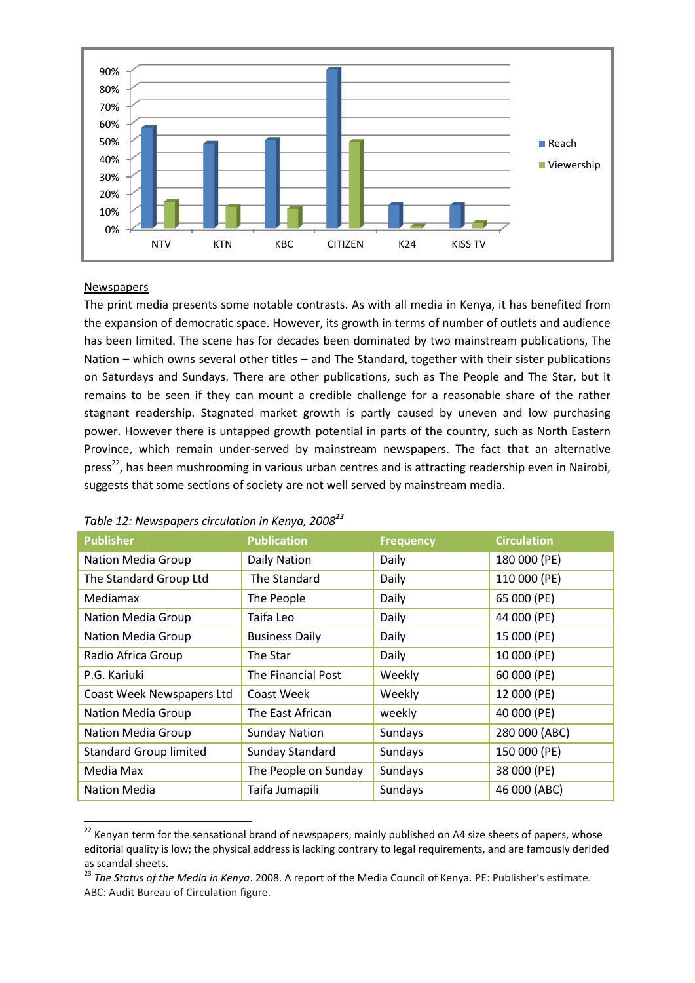

#### **Newspapers**

 $\overline{a}$ 

The print media presents some notable contrasts. As with all media in Kenya, it has benefited from the expansion of democratic space. However, its growth in terms of number of outlets and audience has been limited. The scene has for decades been dominated by two mainstream publications, The Nation – which owns several other titles – and The Standard, together with their sister publications on Saturdays and Sundays. There are other publications, such as The People and The Star, but it remains to be seen if they can mount a credible challenge for a reasonable share of the rather stagnant readership. Stagnated market growth is partly caused by uneven and low purchasing power. However there is untapped growth potential in parts of the country, such as North Eastern Province, which remain under-served by mainstream newspapers. The fact that an alternative press<sup>22</sup>, has been mushrooming in various urban centres and is attracting readership even in Nairobi, suggests that some sections of society are not well served by mainstream media.

| <b>Publisher</b>              | <b>Publication</b>    | <b>Frequency</b> | <b>Circulation</b> |
|-------------------------------|-----------------------|------------------|--------------------|
| Nation Media Group            | Daily Nation          | Daily            | 180 000 (PE)       |
| The Standard Group Ltd        | The Standard          | Daily            | 110 000 (PE)       |
| Mediamax                      | The People            | Daily            | 65 000 (PE)        |
| Nation Media Group            | Taifa Leo             | Daily            | 44 000 (PE)        |
| Nation Media Group            | <b>Business Daily</b> | Daily            | 15 000 (PE)        |
| Radio Africa Group            | The Star              | Daily            | 10 000 (PE)        |
| P.G. Kariuki                  | The Financial Post    | Weekly           | 60 000 (PE)        |
| Coast Week Newspapers Ltd     | Coast Week            | Weekly           | 12 000 (PE)        |
| Nation Media Group            | The East African      | weekly           | 40 000 (PE)        |
| Nation Media Group            | <b>Sunday Nation</b>  | Sundays          | 280 000 (ABC)      |
| <b>Standard Group limited</b> | Sunday Standard       | Sundays          | 150 000 (PE)       |
| Media Max                     | The People on Sunday  | Sundays          | 38 000 (PE)        |
| Nation Media                  | Taifa Jumapili        | Sundays          | 46 000 (ABC)       |

| Table 12: Newspapers circulation in Kenya, 2008 <sup>23</sup> |  |  |
|---------------------------------------------------------------|--|--|
|                                                               |  |  |

<sup>&</sup>lt;sup>22</sup> Kenvan term for the sensational brand of newspapers, mainly published on A4 size sheets of papers, whose editorial quality is low; the physical address is lacking contrary to legal requirements, and are famously derided as scandal sheets.

<sup>23</sup> *The Status of the Media in Kenya*. 2008. A report of the Media Council of Kenya. PE: Publisher's estimate. ABC: Audit Bureau of Circulation figure.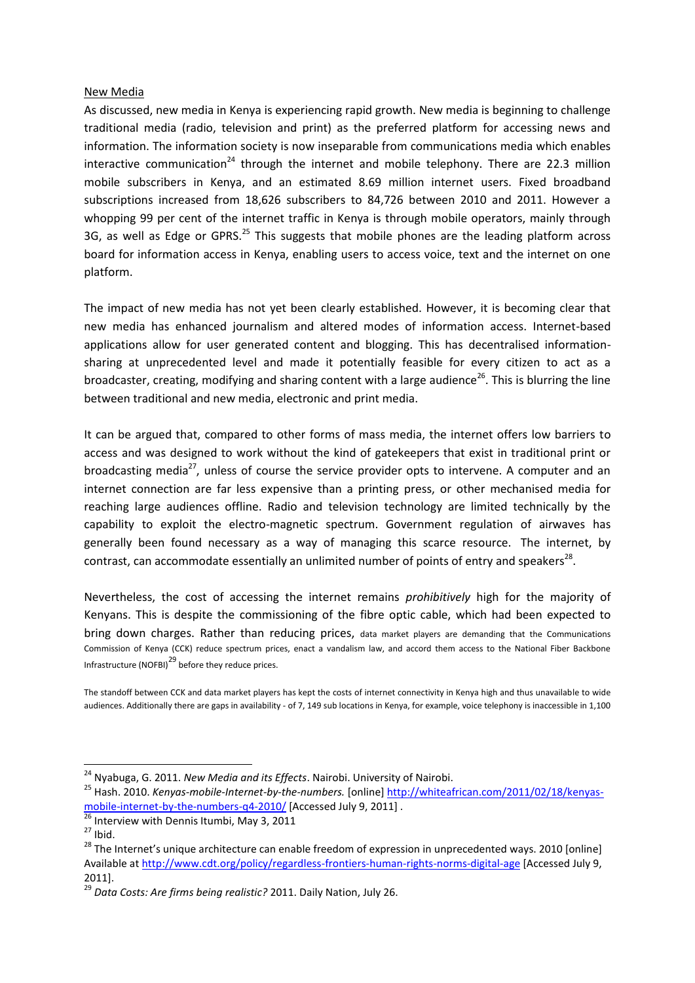#### New Media

As discussed, new media in Kenya is experiencing rapid growth. New media is beginning to challenge traditional media (radio, television and print) as the preferred platform for accessing news and information. The information society is now inseparable from communications media which enables interactive communication<sup>24</sup> through the internet and mobile telephony. There are 22.3 million mobile subscribers in Kenya, and an estimated 8.69 million internet users. Fixed broadband subscriptions increased from 18,626 subscribers to 84,726 between 2010 and 2011. However a whopping 99 per cent of the internet traffic in Kenya is through mobile operators, mainly through 3G, as well as Edge or GPRS.<sup>25</sup> This suggests that mobile phones are the leading platform across board for information access in Kenya, enabling users to access voice, text and the internet on one platform.

The impact of new media has not yet been clearly established. However, it is becoming clear that new media has enhanced journalism and altered modes of information access. Internet-based applications allow for user generated content and blogging. This has decentralised informationsharing at unprecedented level and made it potentially feasible for every citizen to act as a broadcaster, creating, modifying and sharing content with a large audience<sup>26</sup>. This is blurring the line between traditional and new media, electronic and print media.

It can be argued that, compared to other forms of mass media, the internet offers low barriers to access and was designed to work without the kind of gatekeepers that exist in traditional print or broadcasting media<sup>27</sup>, unless of course the service provider opts to intervene. A computer and an internet connection are far less expensive than a printing press, or other mechanised media for reaching large audiences offline. Radio and television technology are limited technically by the capability to exploit the electro-magnetic spectrum. Government regulation of airwaves has generally been found necessary as a way of managing this scarce resource. The internet, by contrast, can accommodate essentially an unlimited number of points of entry and speakers<sup>28</sup>.

Nevertheless, the cost of accessing the internet remains *prohibitively* high for the majority of Kenyans. This is despite the commissioning of the fibre optic cable, which had been expected to bring down charges. Rather than reducing prices, data market players are demanding that the Communications Commission of Kenya (CCK) reduce spectrum prices, enact a vandalism law, and accord them access to the National Fiber Backbone Infrastructure (NOFBI)<sup>29</sup> before they reduce prices.

The standoff between CCK and data market players has kept the costs of internet connectivity in Kenya high and thus unavailable to wide audiences. Additionally there are gaps in availability - of 7, 149 sub locations in Kenya, for example, voice telephony is inaccessible in 1,100

<sup>24</sup> Nyabuga, G. 2011. *New Media and its Effects*. Nairobi. University of Nairobi.

<sup>25</sup> Hash. 2010. *Kenyas-mobile-Internet-by-the-numbers.* [online[\] http://whiteafrican.com/2011/02/18/kenyas](http://whiteafrican.com/2011/02/18/kenyas-mobile-internet-by-the-numbers-q4-2010/)[mobile-internet-by-the-numbers-q4-2010/](http://whiteafrican.com/2011/02/18/kenyas-mobile-internet-by-the-numbers-q4-2010/) [Accessed July 9, 2011].

 $26$  Interview with Dennis Itumbi, May 3, 2011

 $27$  Ibid.

<sup>&</sup>lt;sup>28</sup> The Internet's unique architecture can enable freedom of expression in unprecedented ways. 2010 [online] Available a[t http://www.cdt.org/policy/regardless-frontiers-human-rights-norms-digital-age](http://www.cdt.org/policy/regardless-frontiers-human-rights-norms-digital-age) [Accessed July 9, 2011].

<sup>29</sup> *Data Costs: Are firms being realistic?* 2011. Daily Nation, July 26.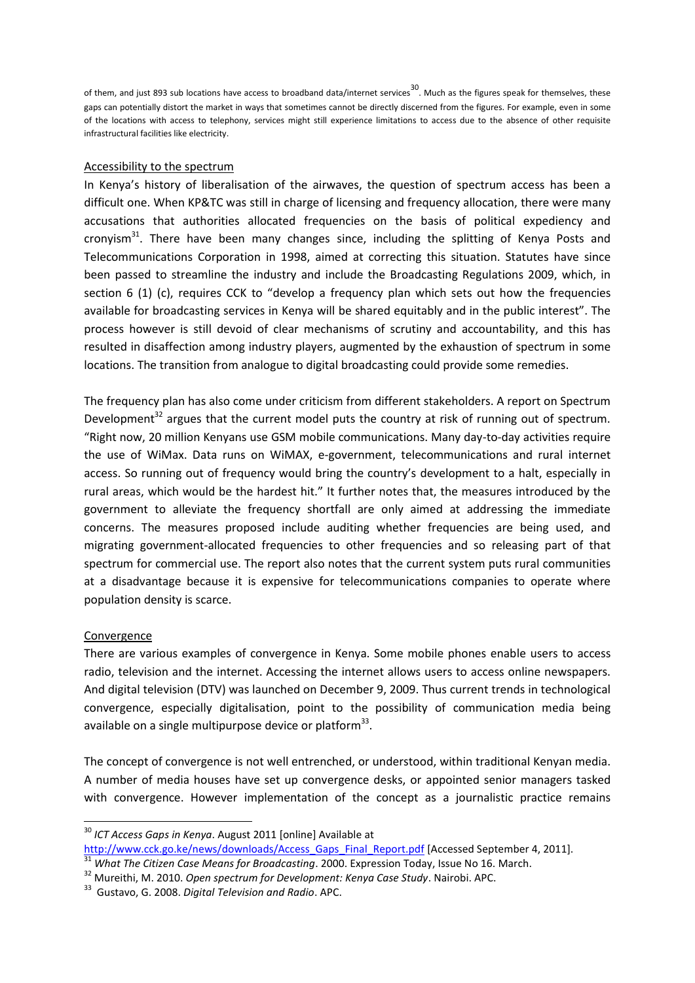of them, and just 893 sub locations have access to broadband data/internet services<sup>30</sup>. Much as the figures speak for themselves, these gaps can potentially distort the market in ways that sometimes cannot be directly discerned from the figures. For example, even in some of the locations with access to telephony, services might still experience limitations to access due to the absence of other requisite infrastructural facilities like electricity.

## Accessibility to the spectrum

In Kenya's history of liberalisation of the airwaves, the question of spectrum access has been a difficult one. When KP&TC was still in charge of licensing and frequency allocation, there were many accusations that authorities allocated frequencies on the basis of political expediency and cronyism<sup>31</sup>. There have been many changes since, including the splitting of Kenya Posts and Telecommunications Corporation in 1998, aimed at correcting this situation. Statutes have since been passed to streamline the industry and include the Broadcasting Regulations 2009, which, in section 6 (1) (c), requires CCK to "develop a frequency plan which sets out how the frequencies available for broadcasting services in Kenya will be shared equitably and in the public interest". The process however is still devoid of clear mechanisms of scrutiny and accountability, and this has resulted in disaffection among industry players, augmented by the exhaustion of spectrum in some locations. The transition from analogue to digital broadcasting could provide some remedies.

The frequency plan has also come under criticism from different stakeholders. A report on Spectrum Development<sup>32</sup> argues that the current model puts the country at risk of running out of spectrum. "Right now, 20 million Kenyans use GSM mobile communications. Many day-to-day activities require the use of WiMax. Data runs on WiMAX, [e-government,](http://www.apc.org/en/taxonomy/term/962) telecommunications and rural [internet](http://www.apc.org/en/glossary/term/149)  [access](http://www.apc.org/en/glossary/term/149). So running out of frequency would bring the country's development to a halt, especially in rural areas, which would be the hardest hit." It further notes that, the measures introduced by the [government](http://www.apc.org/en/glossary/term/353) to alleviate the frequency shortfall are only aimed at addressing the immediate concerns. The measures proposed include auditing whether frequencies are being used, and migrating [government-](http://www.apc.org/en/glossary/term/353)allocated frequencies to other frequencies and so releasing part of that spectrum for commercial use. The report also notes that the current system puts rural communities at a disadvantage because it is expensive for telecommunications companies to operate where population density is scarce.

#### Convergence

 $\overline{a}$ 

There are various examples of convergence in Kenya. Some mobile phones enable users to access radio, television and the internet. Accessing the internet allows users to access online newspapers. And digital television (DTV) was launched on December 9, 2009. Thus current trends in technological convergence, especially digitalisation, point to the possibility of communication media being available on a single multipurpose device or platform $^{33}$ .

The concept of convergence is not well entrenched, or understood, within traditional Kenyan media. A number of media houses have set up convergence desks, or appointed senior managers tasked with convergence. However implementation of the concept as a journalistic practice remains

<sup>30</sup> *ICT Access Gaps in Kenya*. August 2011 [online] Available at

[http://www.cck.go.ke/news/downloads/Access\\_Gaps\\_Final\\_Report.pdf](http://www.cck.go.ke/news/downloads/Access_Gaps_Final_Report.pdf) [Accessed September 4, 2011].

<sup>31</sup> *What The Citizen Case Means for Broadcasting*. 2000. Expression Today, Issue No 16. March.

<sup>32</sup> Mureithi, M. 2010. *Open spectrum for Development: Kenya Case Study*. Nairobi. APC.

<sup>33</sup> Gustavo, G. 2008. *Digital Television and Radio*. APC.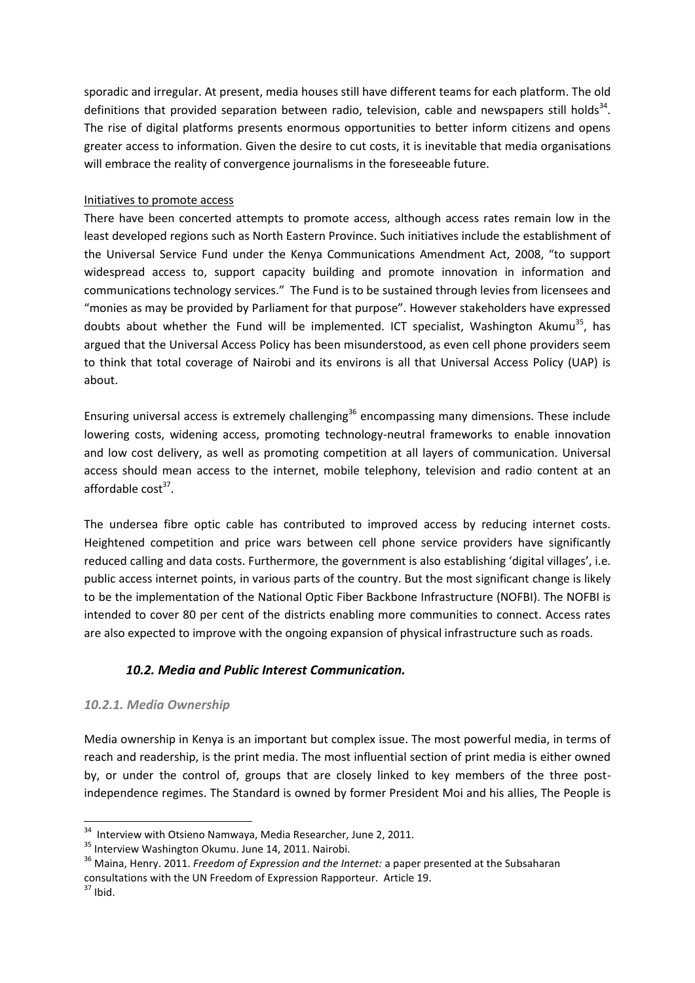sporadic and irregular. At present, media houses still have different teams for each platform. The old definitions that provided separation between radio, television, cable and newspapers still holds<sup>34</sup>. The rise of digital platforms presents enormous opportunities to better inform citizens and opens greater access to information. Given the desire to cut costs, it is inevitable that media organisations will embrace the reality of convergence journalisms in the foreseeable future.

# Initiatives to promote access

There have been concerted attempts to promote access, although access rates remain low in the least developed regions such as North Eastern Province. Such initiatives include the establishment of the Universal Service Fund under the Kenya Communications Amendment Act, 2008, "to support widespread access to, support capacity building and promote innovation in information and communications technology services." The Fund is to be sustained through levies from licensees and "monies as may be provided by Parliament for that purpose". However stakeholders have expressed doubts about whether the Fund will be implemented. ICT specialist, Washington Akumu<sup>35</sup>, has argued that the Universal Access Policy has been misunderstood, as even cell phone providers seem to think that total coverage of Nairobi and its environs is all that Universal Access Policy (UAP) is about.

Ensuring universal access is extremely challenging<sup>36</sup> encompassing many dimensions. These include lowering costs, widening access, promoting technology-neutral frameworks to enable innovation and low cost delivery, as well as promoting competition at all layers of communication. Universal access should mean access to the internet, mobile telephony, television and radio content at an affordable cost<sup>37</sup>.

The undersea fibre optic cable has contributed to improved access by reducing internet costs. Heightened competition and price wars between cell phone service providers have significantly reduced calling and data costs. Furthermore, the government is also establishing 'digital villages', i.e. public access internet points, in various parts of the country. But the most significant change is likely to be the implementation of the National Optic Fiber Backbone Infrastructure (NOFBI). The NOFBI is intended to cover 80 per cent of the districts enabling more communities to connect. Access rates are also expected to improve with the ongoing expansion of physical infrastructure such as roads.

# *10.2. Media and Public Interest Communication.*

# *10.2.1. Media Ownership*

Media ownership in Kenya is an important but complex issue. The most powerful media, in terms of reach and readership, is the print media. The most influential section of print media is either owned by, or under the control of, groups that are closely linked to key members of the three postindependence regimes. The Standard is owned by former President Moi and his allies, The People is

 $\overline{a}$ 

<sup>&</sup>lt;sup>34</sup> Interview with Otsieno Namwaya, Media Researcher, June 2, 2011.

<sup>&</sup>lt;sup>35</sup> Interview Washington Okumu. June 14, 2011. Nairobi.

<sup>36</sup> Maina, Henry. 2011. *Freedom of Expression and the Internet:* a paper presented at the Subsaharan consultations with the UN Freedom of Expression Rapporteur. Article 19.

 $37$  Ibid.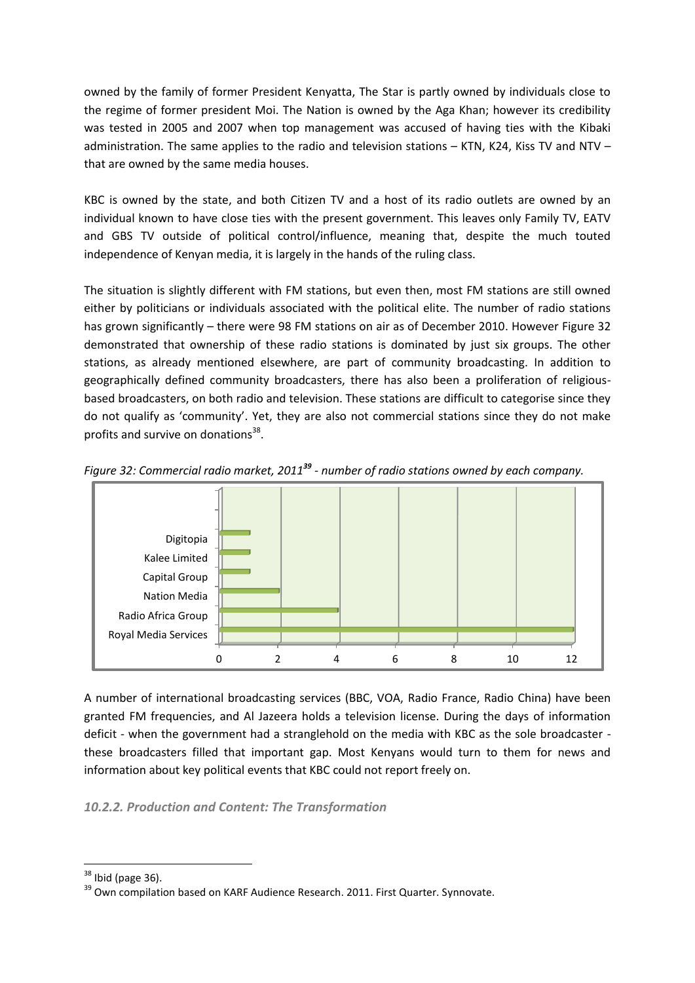owned by the family of former President Kenyatta, The Star is partly owned by individuals close to the regime of former president Moi. The Nation is owned by the Aga Khan; however its credibility was tested in 2005 and 2007 when top management was accused of having ties with the Kibaki administration. The same applies to the radio and television stations – KTN, K24, Kiss TV and NTV – that are owned by the same media houses.

KBC is owned by the state, and both Citizen TV and a host of its radio outlets are owned by an individual known to have close ties with the present government. This leaves only Family TV, EATV and GBS TV outside of political control/influence, meaning that, despite the much touted independence of Kenyan media, it is largely in the hands of the ruling class.

The situation is slightly different with FM stations, but even then, most FM stations are still owned either by politicians or individuals associated with the political elite. The number of radio stations has grown significantly – there were 98 FM stations on air as of December 2010. However Figure 32 demonstrated that ownership of these radio stations is dominated by just six groups. The other stations, as already mentioned elsewhere, are part of community broadcasting. In addition to geographically defined community broadcasters, there has also been a proliferation of religiousbased broadcasters, on both radio and television. These stations are difficult to categorise since they do not qualify as 'community'. Yet, they are also not commercial stations since they do not make profits and survive on donations<sup>38</sup>.



*Figure 32: Commercial radio market, 2011<sup>39</sup> - number of radio stations owned by each company.* 

A number of international broadcasting services (BBC, VOA, Radio France, Radio China) have been granted FM frequencies, and Al Jazeera holds a television license. During the days of information deficit - when the government had a stranglehold on the media with KBC as the sole broadcaster these broadcasters filled that important gap. Most Kenyans would turn to them for news and information about key political events that KBC could not report freely on.

*10.2.2. Production and Content: The Transformation*

 $38$  Ibid (page 36).

<sup>&</sup>lt;sup>39</sup> Own compilation based on KARF Audience Research. 2011. First Quarter. Synnovate.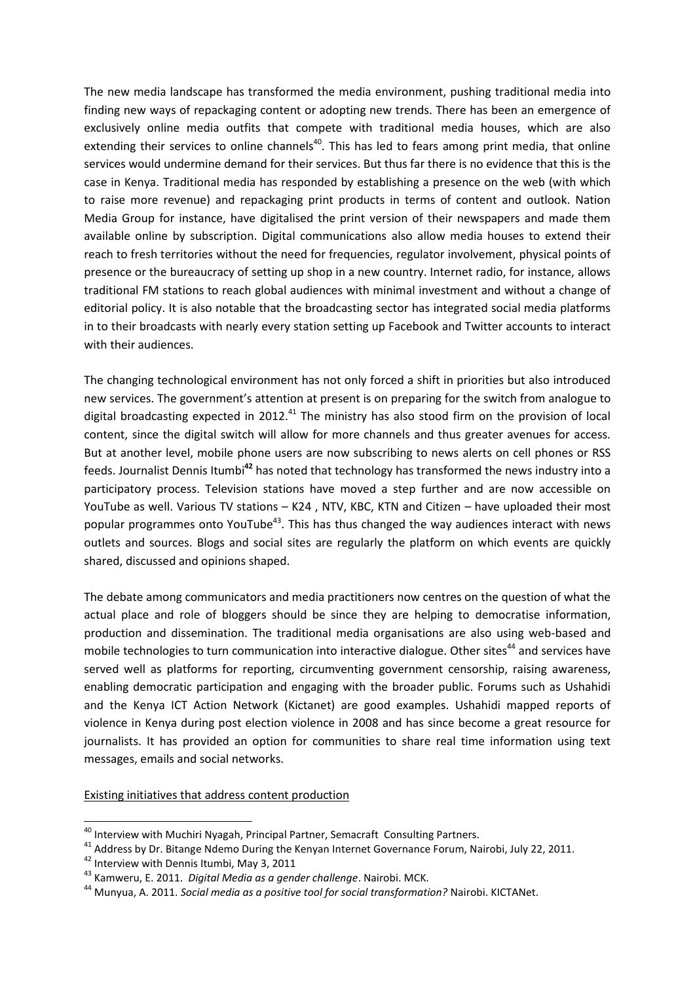The new media landscape has transformed the media environment, pushing traditional media into finding new ways of repackaging content or adopting new trends. There has been an emergence of exclusively online media outfits that compete with traditional media houses, which are also extending their services to online channels<sup>40</sup>. This has led to fears among print media, that online services would undermine demand for their services. But thus far there is no evidence that this is the case in Kenya. Traditional media has responded by establishing a presence on the web (with which to raise more revenue) and repackaging print products in terms of content and outlook. Nation Media Group for instance, have digitalised the print version of their newspapers and made them available online by subscription. Digital communications also allow media houses to extend their reach to fresh territories without the need for frequencies, regulator involvement, physical points of presence or the bureaucracy of setting up shop in a new country. Internet radio, for instance, allows traditional FM stations to reach global audiences with minimal investment and without a change of editorial policy. It is also notable that the broadcasting sector has integrated social media platforms in to their broadcasts with nearly every station setting up Facebook and Twitter accounts to interact with their audiences.

The changing technological environment has not only forced a shift in priorities but also introduced new services. The government's attention at present is on preparing for the switch from analogue to digital broadcasting expected in 2012.<sup>41</sup> The ministry has also stood firm on the provision of local content, since the digital switch will allow for more channels and thus greater avenues for access. But at another level, mobile phone users are now subscribing to news alerts on cell phones or RSS feeds. Journalist Dennis Itumbi**<sup>42</sup>** has noted that technology has transformed the news industry into a participatory process. Television stations have moved a step further and are now accessible on YouTube as well. Various TV stations – K24 , NTV, KBC, KTN and Citizen – have uploaded their most popular programmes onto YouTube<sup>43</sup>. This has thus changed the way audiences interact with news outlets and sources. Blogs and social sites are regularly the platform on which events are quickly shared, discussed and opinions shaped.

The debate among communicators and media practitioners now centres on the question of what the actual place and role of bloggers should be since they are helping to democratise information, production and dissemination. The traditional media organisations are also using web-based and mobile technologies to turn communication into interactive dialogue. Other sites<sup>44</sup> and services have served well as platforms for reporting, circumventing government censorship, raising awareness, enabling democratic participation and engaging with the broader public. Forums such as Ushahidi and the Kenya ICT Action Network (Kictanet) are good examples. Ushahidi mapped reports of violence in Kenya during post election violence in 2008 and has since become a great resource for journalists. It has provided an option for communities to share real time information using text messages, emails and social networks.

Existing initiatives that address content production

 $\overline{a}$ 

<sup>&</sup>lt;sup>40</sup> Interview with Muchiri Nyagah, Principal Partner, Semacraft Consulting Partners.

<sup>&</sup>lt;sup>41</sup> Address by Dr. Bitange Ndemo During the Kenyan Internet Governance Forum, Nairobi, July 22, 2011.

<sup>42</sup> Interview with Dennis Itumbi, May 3, 2011

<sup>43</sup> Kamweru, E. 2011. *Digital Media as a gender challenge*. Nairobi. MCK.

<sup>44</sup> Munyua, A. 2011. *Social media as a positive tool for social transformation?* Nairobi. KICTANet.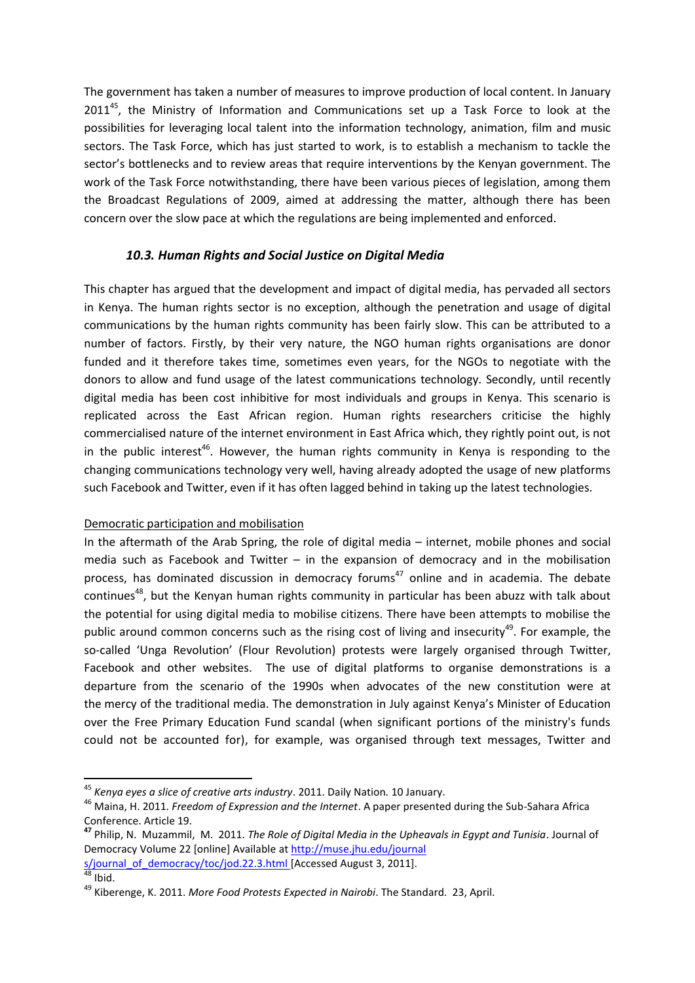The government has taken a number of measures to improve production of local content. In January 2011<sup>45</sup>, the Ministry of Information and Communications set up a Task Force to look at the possibilities for leveraging local talent into the information technology, animation, film and music sectors. The Task Force, which has just started to work, is to establish a mechanism to tackle the sector's bottlenecks and to review areas that require interventions by the Kenyan government. The work of the Task Force notwithstanding, there have been various pieces of legislation, among them the Broadcast Regulations of 2009, aimed at addressing the matter, although there has been concern over the slow pace at which the regulations are being implemented and enforced.

## *10.3. Human Rights and Social Justice on Digital Media*

This chapter has argued that the development and impact of digital media, has pervaded all sectors in Kenya. The human rights sector is no exception, although the penetration and usage of digital communications by the human rights community has been fairly slow. This can be attributed to a number of factors. Firstly, by their very nature, the NGO human rights organisations are donor funded and it therefore takes time, sometimes even years, for the NGOs to negotiate with the donors to allow and fund usage of the latest communications technology. Secondly, until recently digital media has been cost inhibitive for most individuals and groups in Kenya. This scenario is replicated across the East African region. Human rights researchers criticise the highly commercialised nature of the internet environment in East Africa which, they rightly point out, is not in the public interest<sup>46</sup>. However, the human rights community in Kenya is responding to the changing communications technology very well, having already adopted the usage of new platforms such Facebook and Twitter, even if it has often lagged behind in taking up the latest technologies.

## Democratic participation and mobilisation

In the aftermath of the Arab Spring, the role of digital media – internet, mobile phones and social media such as Facebook and Twitter – in the expansion of democracy and in the mobilisation process, has dominated discussion in democracy forums<sup>47</sup> online and in academia. The debate continues<sup>48</sup>, but the Kenyan human rights community in particular has been abuzz with talk about the potential for using digital media to mobilise citizens. There have been attempts to mobilise the public around common concerns such as the rising cost of living and insecurity<sup>49</sup>. For example, the so-called 'Unga Revolution' (Flour Revolution) protests were largely organised through Twitter, Facebook and other websites. The use of digital platforms to organise demonstrations is a departure from the scenario of the 1990s when advocates of the new constitution were at the mercy of the traditional media. The demonstration in July against Kenya's Minister of Education over the Free Primary Education Fund scandal (when significant portions of the ministry's funds could not be accounted for), for example, was organised through text messages, Twitter and

[s/journal\\_of\\_democracy/toc/jod.22.3.html](http://muse.jhu.edu/journal%20s/journal_of_democracy/toc/jod.22.3.html) [Accessed August 3, 2011].

**.** 

<sup>45</sup> *Kenya eyes a slice of creative arts industry*. 2011. Daily Nation*.* 10 January.

<sup>46</sup> Maina, H. 2011. *Freedom of Expression and the Internet*. A paper presented during the Sub-Sahara Africa Conference. Article 19.

**<sup>47</sup>** Philip, N. Muzammil, M. 2011. *The Role of Digital Media in the Upheavals in Egypt and Tunisia*. Journal of Democracy Volume 22 [online] Available a[t http://muse.jhu.edu/journal](http://muse.jhu.edu/journal%20s/journal_of_democracy/toc/jod.22.3.html) 

 $48$  Ibid.

<sup>49</sup> Kiberenge, K. 2011. *More Food Protests Expected in Nairobi*. The Standard. 23, April.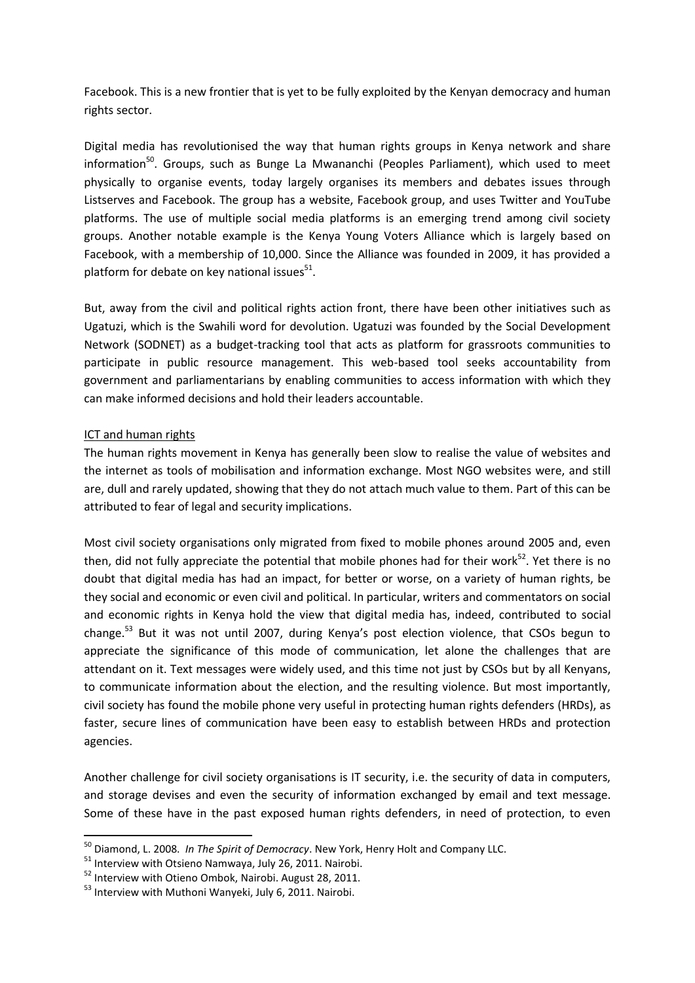Facebook. This is a new frontier that is yet to be fully exploited by the Kenyan democracy and human rights sector.

Digital media has revolutionised the way that human rights groups in Kenya network and share information<sup>50</sup>. Groups, such as Bunge La Mwananchi (Peoples Parliament), which used to meet physically to organise events, today largely organises its members and debates issues through Listserves and Facebook. The group has a website, Facebook group, and uses Twitter and YouTube platforms. The use of multiple social media platforms is an emerging trend among civil society groups. Another notable example is the Kenya Young Voters Alliance which is largely based on Facebook, with a membership of 10,000. Since the Alliance was founded in 2009, it has provided a platform for debate on key national issues $^{51}$ .

But, away from the civil and political rights action front, there have been other initiatives such as Ugatuzi, which is the Swahili word for devolution. Ugatuzi was founded by the Social Development Network (SODNET) as a budget-tracking tool that acts as platform for grassroots communities to participate in public resource management. This web-based tool seeks accountability from government and parliamentarians by enabling communities to access information with which they can make informed decisions and hold their leaders accountable.

## ICT and human rights

**.** 

The human rights movement in Kenya has generally been slow to realise the value of websites and the internet as tools of mobilisation and information exchange. Most NGO websites were, and still are, dull and rarely updated, showing that they do not attach much value to them. Part of this can be attributed to fear of legal and security implications.

Most civil society organisations only migrated from fixed to mobile phones around 2005 and, even then, did not fully appreciate the potential that mobile phones had for their work $52$ . Yet there is no doubt that digital media has had an impact, for better or worse, on a variety of human rights, be they social and economic or even civil and political. In particular, writers and commentators on social and economic rights in Kenya hold the view that digital media has, indeed, contributed to social change.<sup>53</sup> But it was not until 2007, during Kenya's post election violence, that CSOs begun to appreciate the significance of this mode of communication, let alone the challenges that are attendant on it. Text messages were widely used, and this time not just by CSOs but by all Kenyans, to communicate information about the election, and the resulting violence. But most importantly, civil society has found the mobile phone very useful in protecting human rights defenders (HRDs), as faster, secure lines of communication have been easy to establish between HRDs and protection agencies.

Another challenge for civil society organisations is IT security, i.e. the security of data in computers, and storage devises and even the security of information exchanged by email and text message. Some of these have in the past exposed human rights defenders, in need of protection, to even

<sup>50</sup> Diamond, L. 2008. *In The Spirit of Democracy*. New York, Henry Holt and Company LLC.

 $51$  Interview with Otsieno Namwaya, July 26, 2011. Nairobi.

<sup>52</sup> Interview with Otieno Ombok, Nairobi. August 28, 2011.

<sup>&</sup>lt;sup>53</sup> Interview with Muthoni Wanyeki, July 6, 2011. Nairobi.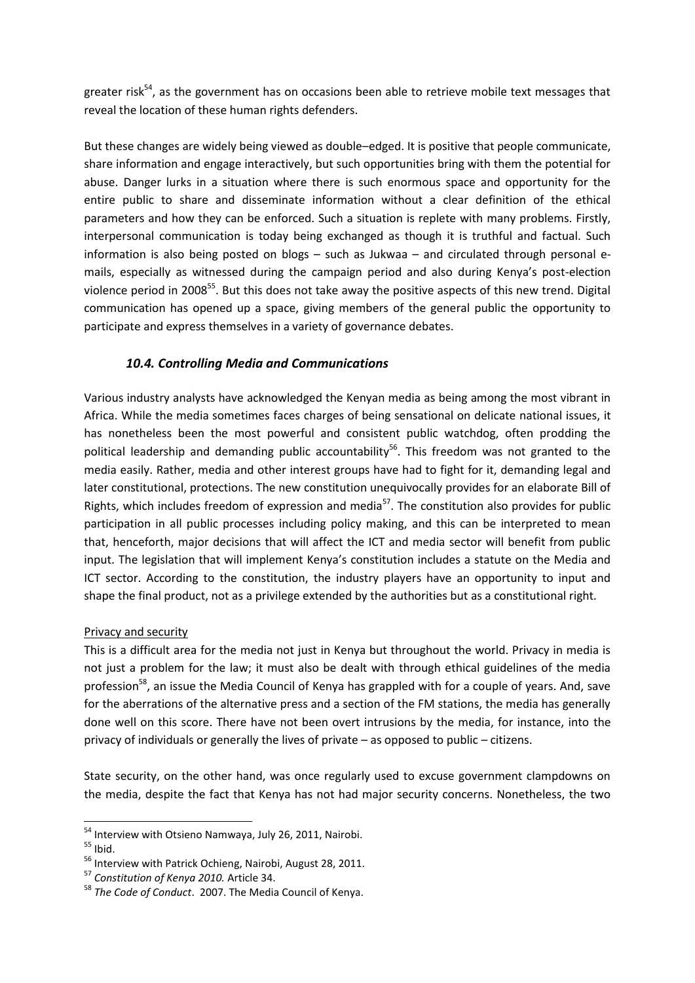greater risk<sup>54</sup>, as the government has on occasions been able to retrieve mobile text messages that reveal the location of these human rights defenders.

But these changes are widely being viewed as double–edged. It is positive that people communicate, share information and engage interactively, but such opportunities bring with them the potential for abuse. Danger lurks in a situation where there is such enormous space and opportunity for the entire public to share and disseminate information without a clear definition of the ethical parameters and how they can be enforced. Such a situation is replete with many problems. Firstly, interpersonal communication is today being exchanged as though it is truthful and factual. Such information is also being posted on blogs – such as Jukwaa – and circulated through personal emails, especially as witnessed during the campaign period and also during Kenya's post-election violence period in 2008<sup>55</sup>. But this does not take away the positive aspects of this new trend. Digital communication has opened up a space, giving members of the general public the opportunity to participate and express themselves in a variety of governance debates.

# *10.4. Controlling Media and Communications*

Various industry analysts have acknowledged the Kenyan media as being among the most vibrant in Africa. While the media sometimes faces charges of being sensational on delicate national issues, it has nonetheless been the most powerful and consistent public watchdog, often prodding the political leadership and demanding public accountability<sup>56</sup>. This freedom was not granted to the media easily. Rather, media and other interest groups have had to fight for it, demanding legal and later constitutional, protections. The new constitution unequivocally provides for an elaborate Bill of Rights, which includes freedom of expression and media<sup>57</sup>. The constitution also provides for public participation in all public processes including policy making, and this can be interpreted to mean that, henceforth, major decisions that will affect the ICT and media sector will benefit from public input. The legislation that will implement Kenya's constitution includes a statute on the Media and ICT sector. According to the constitution, the industry players have an opportunity to input and shape the final product, not as a privilege extended by the authorities but as a constitutional right*.* 

## Privacy and security

This is a difficult area for the media not just in Kenya but throughout the world. Privacy in media is not just a problem for the law; it must also be dealt with through ethical guidelines of the media profession<sup>58</sup>, an issue the Media Council of Kenya has grappled with for a couple of years. And, save for the aberrations of the alternative press and a section of the FM stations, the media has generally done well on this score. There have not been overt intrusions by the media, for instance, into the privacy of individuals or generally the lives of private – as opposed to public – citizens.

State security, on the other hand, was once regularly used to excuse government clampdowns on the media, despite the fact that Kenya has not had major security concerns. Nonetheless, the two

 $\overline{a}$ <sup>54</sup> Interview with Otsieno Namwaya, July 26, 2011, Nairobi.

 $55$  Ibid.

<sup>&</sup>lt;sup>56</sup> Interview with Patrick Ochieng, Nairobi, August 28, 2011.

<sup>57</sup> *Constitution of Kenya 2010.* Article 34.

<sup>58</sup> *The Code of Conduct*. 2007. The Media Council of Kenya.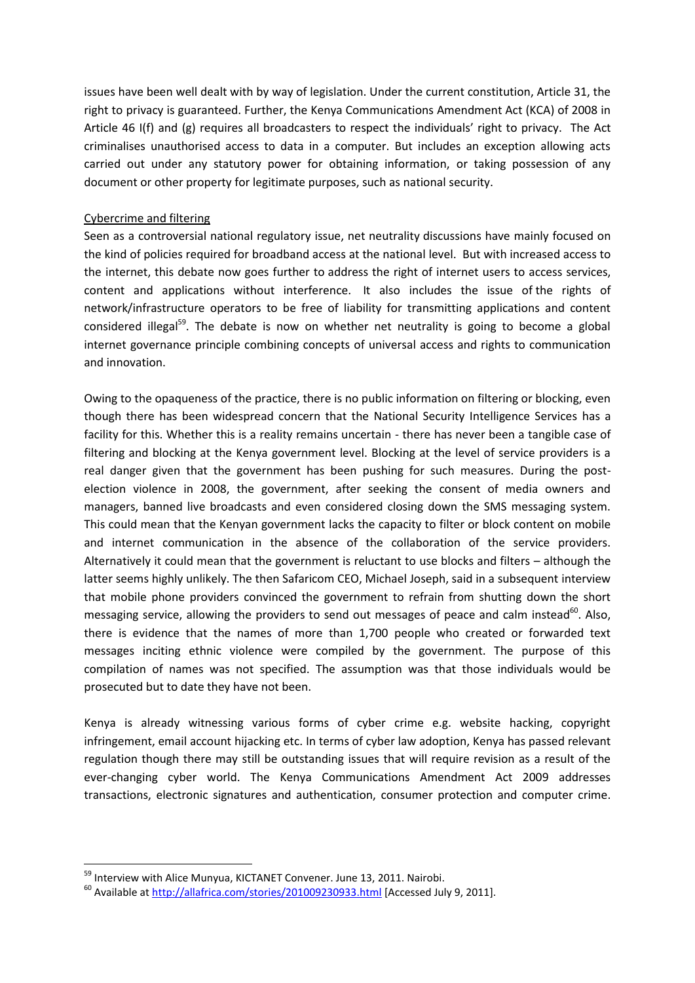issues have been well dealt with by way of legislation. Under the current constitution, Article 31, the right to privacy is guaranteed. Further, the Kenya Communications Amendment Act (KCA) of 2008 in Article 46 I(f) and (g) requires all broadcasters to respect the individuals' right to privacy.The Act criminalises unauthorised access to data in a computer. But includes an exception allowing acts carried out under any statutory power for obtaining information, or taking possession of any document or other property for legitimate purposes, such as national security.

## Cybercrime and filtering

Seen as a controversial national regulatory issue, net neutrality discussions have mainly focused on the kind of policies required for broadband access at the national level. But with increased access to the internet, this debate now goes further to address the right of internet users to access services, content and applications without interference. It also includes the issue of the rights of network/infrastructure operators to be free of liability for transmitting applications and content considered illegal<sup>59</sup>. The debate is now on whether net neutrality is going to become a global internet governance principle combining concepts of universal access and rights to communication and innovation.

Owing to the opaqueness of the practice, there is no public information on filtering or blocking, even though there has been widespread concern that the National Security Intelligence Services has a facility for this. Whether this is a reality remains uncertain - there has never been a tangible case of filtering and blocking at the Kenya government level. Blocking at the level of service providers is a real danger given that the government has been pushing for such measures. During the postelection violence in 2008, the government, after seeking the consent of media owners and managers, banned live broadcasts and even considered closing down the SMS messaging system. This could mean that the Kenyan government lacks the capacity to filter or block content on mobile and internet communication in the absence of the collaboration of the service providers. Alternatively it could mean that the government is reluctant to use blocks and filters – although the latter seems highly unlikely. The then Safaricom CEO, Michael Joseph, said in a subsequent interview that mobile phone providers convinced the government to refrain from shutting down the short messaging service, allowing the providers to send out messages of peace and calm instead<sup>60</sup>. Also, there is evidence that the names of more than 1,700 people who created or forwarded text messages inciting ethnic violence were compiled by the government. The purpose of this compilation of names was not specified. The assumption was that those individuals would be prosecuted but to date they have not been.

Kenya is already witnessing various forms of cyber crime e.g. website hacking, copyright infringement, email account hijacking etc. In terms of cyber law adoption, Kenya has passed relevant regulation though there may still be outstanding issues that will require revision as a result of the ever-changing cyber world. The Kenya Communications Amendment Act 2009 addresses transactions, electronic signatures and authentication, consumer protection and computer crime.

<sup>&</sup>lt;sup>59</sup> Interview with Alice Munyua, KICTANET Convener. June 13, 2011. Nairobi.

<sup>&</sup>lt;sup>60</sup> Available a[t http://allafrica.com/stories/201009230933.html](http://allafrica.com/stories/201009230933.html) [Accessed July 9, 2011].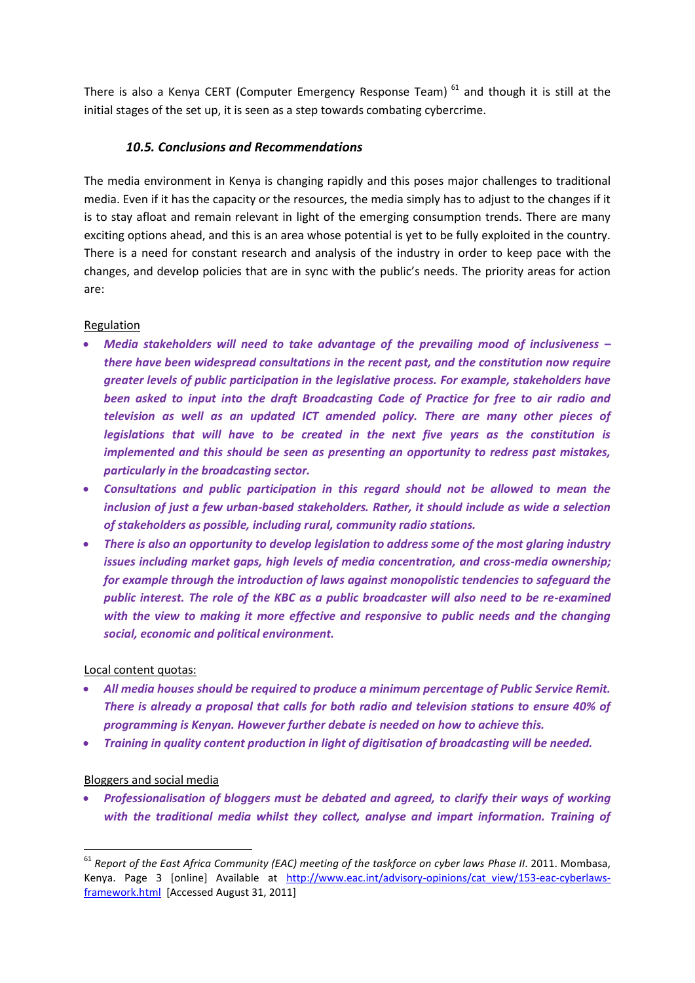There is also a Kenya CERT (Computer Emergency Response Team)  $61$  and though it is still at the initial stages of the set up, it is seen as a step towards combating cybercrime.

## *10.5. Conclusions and Recommendations*

The media environment in Kenya is changing rapidly and this poses major challenges to traditional media. Even if it has the capacity or the resources, the media simply has to adjust to the changes if it is to stay afloat and remain relevant in light of the emerging consumption trends. There are many exciting options ahead, and this is an area whose potential is yet to be fully exploited in the country. There is a need for constant research and analysis of the industry in order to keep pace with the changes, and develop policies that are in sync with the public's needs. The priority areas for action are:

## **Regulation**

- *Media stakeholders will need to take advantage of the prevailing mood of inclusiveness – there have been widespread consultations in the recent past, and the constitution now require greater levels of public participation in the legislative process. For example, stakeholders have*  been asked to input into the draft Broadcasting Code of Practice for free to air radio and *television as well as an updated ICT amended policy. There are many other pieces of legislations that will have to be created in the next five years as the constitution is implemented and this should be seen as presenting an opportunity to redress past mistakes, particularly in the broadcasting sector.*
- *Consultations and public participation in this regard should not be allowed to mean the inclusion of just a few urban-based stakeholders. Rather, it should include as wide a selection of stakeholders as possible, including rural, community radio stations.*
- *There is also an opportunity to develop legislation to address some of the most glaring industry issues including market gaps, high levels of media concentration, and cross-media ownership; for example through the introduction of laws against monopolistic tendencies to safeguard the public interest. The role of the KBC as a public broadcaster will also need to be re-examined with the view to making it more effective and responsive to public needs and the changing social, economic and political environment.*

## Local content quotas:

- *All media houses should be required to produce a minimum percentage of Public Service Remit. There is already a proposal that calls for both radio and television stations to ensure 40% of programming is Kenyan. However further debate is needed on how to achieve this.*
- *Training in quality content production in light of digitisation of broadcasting will be needed.*

## Bloggers and social media

**.** 

 *Professionalisation of bloggers must be debated and agreed, to clarify their ways of working*  with the traditional media whilst they collect, analyse and impart information. Training of

<sup>61</sup> *Report of the East Africa Community (EAC) meeting of the taskforce on cyber laws Phase II*. 2011. Mombasa, Kenya. Page 3 [online] Available at [http://www.eac.int/advisory-opinions/cat\\_view/153-eac-cyberlaws](http://www.eac.int/advisory-opinions/cat_view/153-eac-cyberlaws-framework.html)[framework.html](http://www.eac.int/advisory-opinions/cat_view/153-eac-cyberlaws-framework.html) [Accessed August 31, 2011]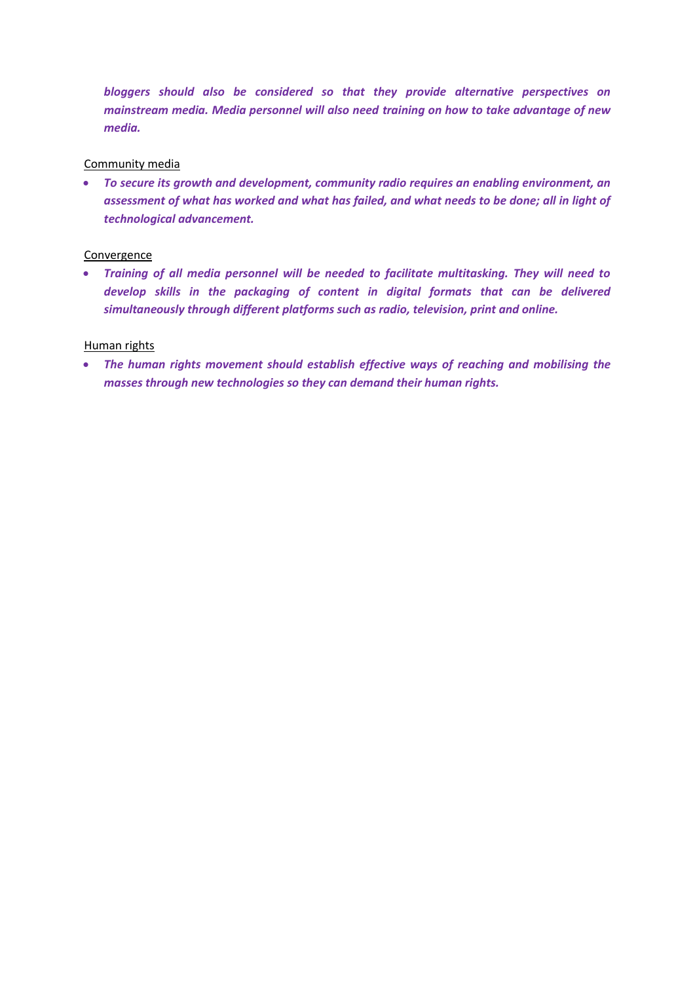*bloggers should also be considered so that they provide alternative perspectives on mainstream media. Media personnel will also need training on how to take advantage of new media.*

#### Community media

 *To secure its growth and development, community radio requires an enabling environment, an assessment of what has worked and what has failed, and what needs to be done; all in light of technological advancement.*

#### Convergence

 *Training of all media personnel will be needed to facilitate multitasking. They will need to develop skills in the packaging of content in digital formats that can be delivered simultaneously through different platforms such as radio, television, print and online.*

#### Human rights

 *The human rights movement should establish effective ways of reaching and mobilising the masses through new technologies so they can demand their human rights.*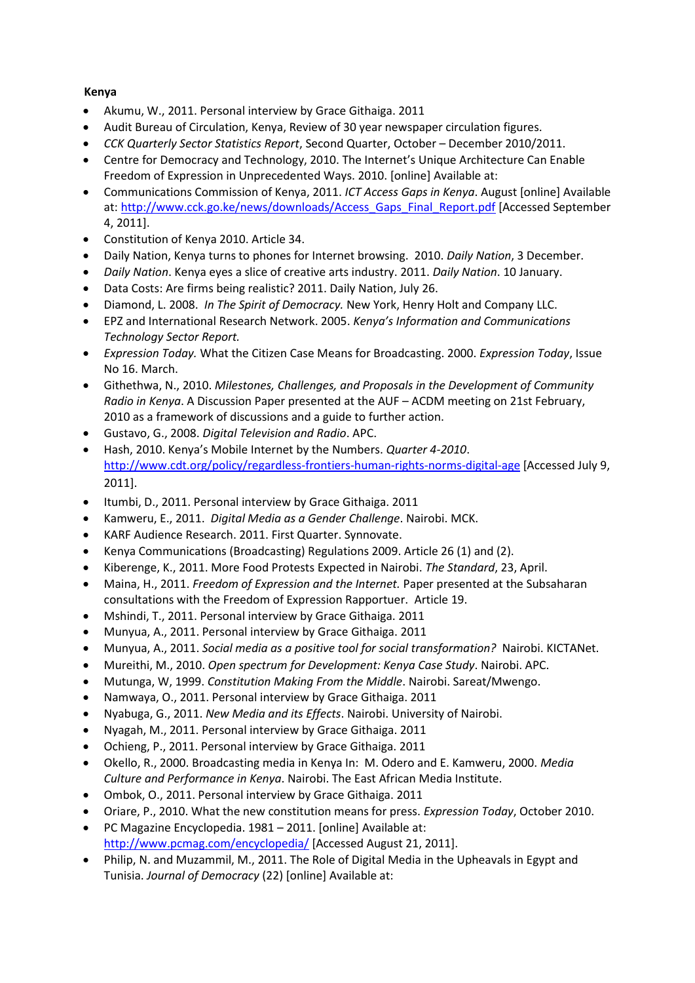# **Kenya**

- Akumu, W., 2011. Personal interview by Grace Githaiga. 2011
- Audit Bureau of Circulation, Kenya, Review of 30 year newspaper circulation figures.
- *CCK Quarterly Sector Statistics Report*, Second Quarter, October December 2010/2011.
- Centre for Democracy and Technology, 2010. The Internet's Unique Architecture Can Enable Freedom of Expression in Unprecedented Ways. 2010. [online] Available at:
- Communications Commission of Kenya, 2011. *ICT Access Gaps in Kenya*. August [online] Available at[: http://www.cck.go.ke/news/downloads/Access\\_Gaps\\_Final\\_Report.pdf](http://www.cck.go.ke/news/downloads/Access_Gaps_Final_Report.pdf) [Accessed September 4, 2011].
- Constitution of Kenya 2010. Article 34.
- Daily Nation, Kenya turns to phones for Internet browsing. 2010. *Daily Nation*, 3 December.
- *Daily Nation*. Kenya eyes a slice of creative arts industry. 2011. *Daily Nation*. 10 January.
- Data Costs: Are firms being realistic? 2011. Daily Nation, July 26.
- Diamond, L. 2008. *In The Spirit of Democracy.* New York, Henry Holt and Company LLC.
- EPZ and International Research Network. 2005. *Kenya's Information and Communications Technology Sector Report.*
- *Expression Today.* What the Citizen Case Means for Broadcasting. 2000. *Expression Today*, Issue No 16. March.
- Githethwa, N., 2010. *Milestones, Challenges, and Proposals in the Development of Community Radio in Kenya*. A Discussion Paper presented at the AUF – ACDM meeting on 21st February, 2010 as a framework of discussions and a guide to further action.
- Gustavo, G., 2008. *Digital Television and Radio*. APC.
- Hash, 2010. Kenya's Mobile Internet by the Numbers. *Quarter 4-2010*. <http://www.cdt.org/policy/regardless-frontiers-human-rights-norms-digital-age> [Accessed July 9, 2011].
- $\bullet$  Itumbi, D., 2011. Personal interview by Grace Githaiga. 2011
- Kamweru, E., 2011. *Digital Media as a Gender Challenge*. Nairobi. MCK.
- KARF Audience Research. 2011. First Quarter. Synnovate.
- Kenya Communications (Broadcasting) Regulations 2009. Article 26 (1) and (2).
- Kiberenge, K., 2011. More Food Protests Expected in Nairobi. *The Standard*, 23, April.
- Maina, H., 2011. *Freedom of Expression and the Internet.* Paper presented at the Subsaharan consultations with the Freedom of Expression Rapportuer. Article 19.
- Mshindi, T., 2011. Personal interview by Grace Githaiga. 2011
- Munyua, A., 2011. Personal interview by Grace Githaiga. 2011
- Munyua, A., 2011. *Social media as a positive tool for social transformation?* Nairobi. KICTANet.
- Mureithi, M., 2010. *Open spectrum for Development: Kenya Case Study*. Nairobi. APC.
- Mutunga, W, 1999. *Constitution Making From the Middle*. Nairobi. Sareat/Mwengo.
- Namwaya, O., 2011. Personal interview by Grace Githaiga. 2011
- Nyabuga, G., 2011. *New Media and its Effects*. Nairobi. University of Nairobi.
- Nyagah, M., 2011. Personal interview by Grace Githaiga. 2011
- Ochieng, P., 2011. Personal interview by Grace Githaiga. 2011
- Okello, R., 2000. Broadcasting media in Kenya In: M. Odero and E. Kamweru, 2000. *Media Culture and Performance in Kenya*. Nairobi. The East African Media Institute.
- Ombok, O., 2011. Personal interview by Grace Githaiga. 2011
- Oriare, P., 2010. What the new constitution means for press. *Expression Today*, October 2010.
- PC Magazine Encyclopedia. 1981 2011. [online] Available at: <http://www.pcmag.com/encyclopedia/> [Accessed August 21, 2011].
- Philip, N. and Muzammil, M., 2011. The Role of Digital Media in the Upheavals in Egypt and Tunisia. *Journal of Democracy* (22) [online] Available at: